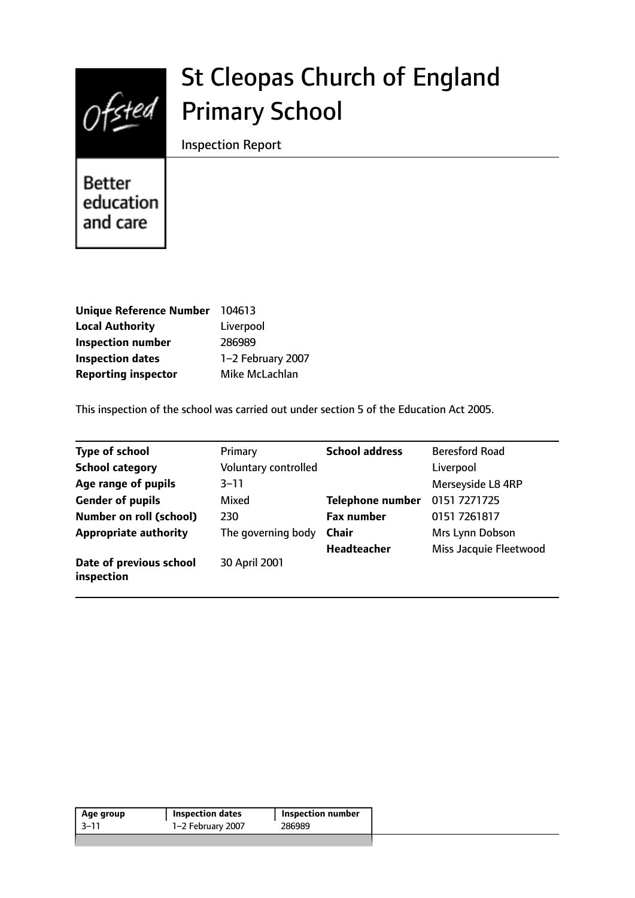

# St Cleopas Church of England Primary School

Inspection Report

Better education and care

| <b>Unique Reference Number</b> | 104613            |
|--------------------------------|-------------------|
| <b>Local Authority</b>         | Liverpool         |
| <b>Inspection number</b>       | 286989            |
| <b>Inspection dates</b>        | 1-2 February 2007 |
| <b>Reporting inspector</b>     | Mike McLachlan    |

This inspection of the school was carried out under section 5 of the Education Act 2005.

| <b>Type of school</b>                 | Primary              | <b>School address</b>   | <b>Beresford Road</b>  |
|---------------------------------------|----------------------|-------------------------|------------------------|
| <b>School category</b>                | Voluntary controlled |                         | Liverpool              |
| Age range of pupils                   | $3 - 11$             |                         | Merseyside L8 4RP      |
| <b>Gender of pupils</b>               | Mixed                | <b>Telephone number</b> | 0151 7271725           |
| <b>Number on roll (school)</b>        | 230                  | <b>Fax number</b>       | 0151 7261817           |
| <b>Appropriate authority</b>          | The governing body   | <b>Chair</b>            | Mrs Lynn Dobson        |
|                                       |                      | Headteacher             | Miss Jacquie Fleetwood |
| Date of previous school<br>inspection | 30 April 2001        |                         |                        |

| 1-2 February 2007<br>286989<br>$-3-11$ | Age group | <b>Inspection dates</b> | <b>Inspection number</b> |
|----------------------------------------|-----------|-------------------------|--------------------------|
|                                        |           |                         |                          |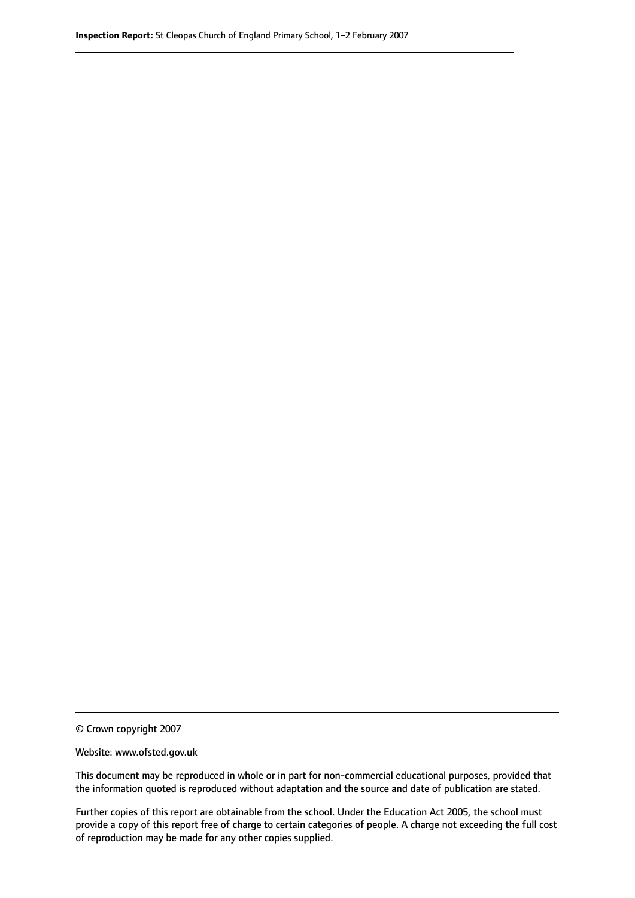© Crown copyright 2007

Website: www.ofsted.gov.uk

This document may be reproduced in whole or in part for non-commercial educational purposes, provided that the information quoted is reproduced without adaptation and the source and date of publication are stated.

Further copies of this report are obtainable from the school. Under the Education Act 2005, the school must provide a copy of this report free of charge to certain categories of people. A charge not exceeding the full cost of reproduction may be made for any other copies supplied.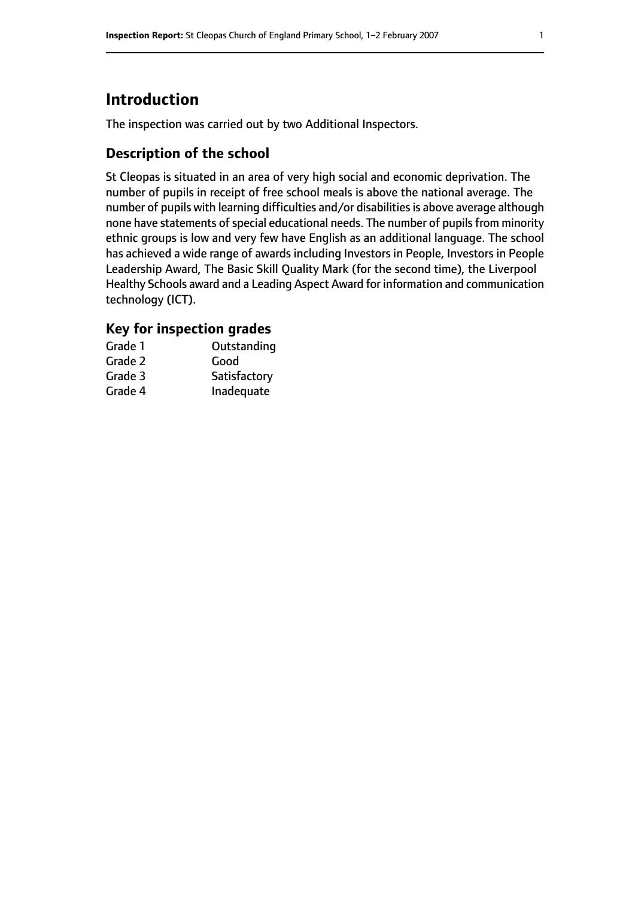# **Introduction**

The inspection was carried out by two Additional Inspectors.

## **Description of the school**

St Cleopas is situated in an area of very high social and economic deprivation. The number of pupils in receipt of free school meals is above the national average. The number of pupils with learning difficulties and/or disabilities is above average although none have statements of special educational needs. The number of pupils from minority ethnic groups is low and very few have English as an additional language. The school has achieved a wide range of awards including Investors in People, Investors in People Leadership Award, The Basic Skill Quality Mark (for the second time), the Liverpool Healthy Schools award and a Leading Aspect Award for information and communication technology (ICT).

## **Key for inspection grades**

| Grade 1 | Outstanding  |
|---------|--------------|
| Grade 2 | Good         |
| Grade 3 | Satisfactory |
| Grade 4 | Inadequate   |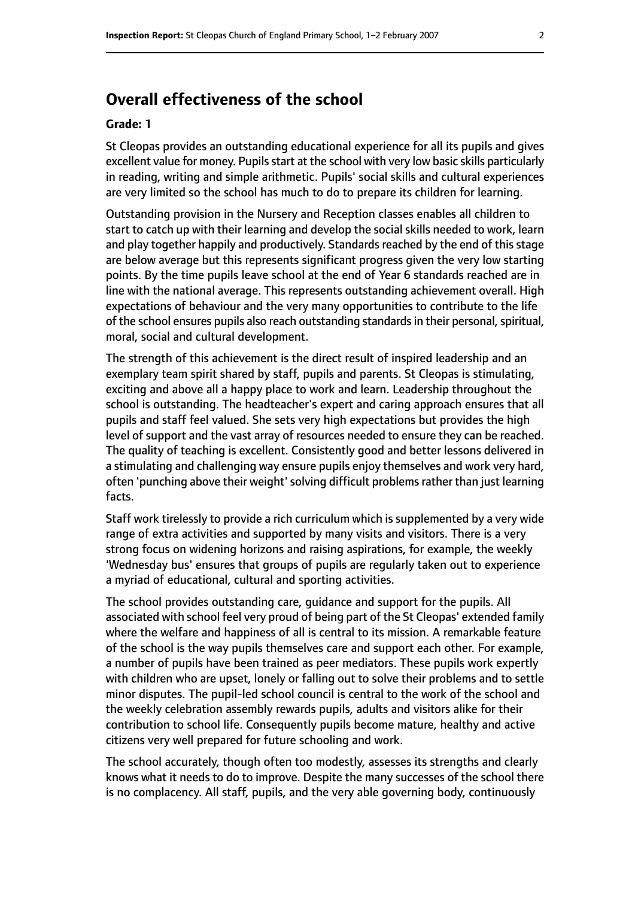# **Overall effectiveness of the school**

#### **Grade: 1**

St Cleopas provides an outstanding educational experience for all its pupils and gives excellent value for money. Pupils start at the school with very low basic skills particularly in reading, writing and simple arithmetic. Pupils' social skills and cultural experiences are very limited so the school has much to do to prepare its children for learning.

Outstanding provision in the Nursery and Reception classes enables all children to start to catch up with their learning and develop the social skills needed to work, learn and play together happily and productively. Standards reached by the end of this stage are below average but this represents significant progress given the very low starting points. By the time pupils leave school at the end of Year 6 standards reached are in line with the national average. This represents outstanding achievement overall. High expectations of behaviour and the very many opportunities to contribute to the life of the school ensures pupils also reach outstanding standards in their personal, spiritual, moral, social and cultural development.

The strength of this achievement is the direct result of inspired leadership and an exemplary team spirit shared by staff, pupils and parents. St Cleopas is stimulating, exciting and above all a happy place to work and learn. Leadership throughout the school is outstanding. The headteacher's expert and caring approach ensures that all pupils and staff feel valued. She sets very high expectations but provides the high level of support and the vast array of resources needed to ensure they can be reached. The quality of teaching is excellent. Consistently good and better lessons delivered in a stimulating and challenging way ensure pupils enjoy themselves and work very hard, often 'punching above their weight' solving difficult problems rather than just learning facts.

Staff work tirelessly to provide a rich curriculum which is supplemented by a very wide range of extra activities and supported by many visits and visitors. There is a very strong focus on widening horizons and raising aspirations, for example, the weekly 'Wednesday bus' ensures that groups of pupils are regularly taken out to experience a myriad of educational, cultural and sporting activities.

The school provides outstanding care, guidance and support for the pupils. All associated with school feel very proud of being part of the St Cleopas' extended family where the welfare and happiness of all is central to its mission. A remarkable feature of the school is the way pupils themselves care and support each other. For example, a number of pupils have been trained as peer mediators. These pupils work expertly with children who are upset, lonely or falling out to solve their problems and to settle minor disputes. The pupil-led school council is central to the work of the school and the weekly celebration assembly rewards pupils, adults and visitors alike for their contribution to school life. Consequently pupils become mature, healthy and active citizens very well prepared for future schooling and work.

The school accurately, though often too modestly, assesses its strengths and clearly knows what it needs to do to improve. Despite the many successes of the school there is no complacency. All staff, pupils, and the very able governing body, continuously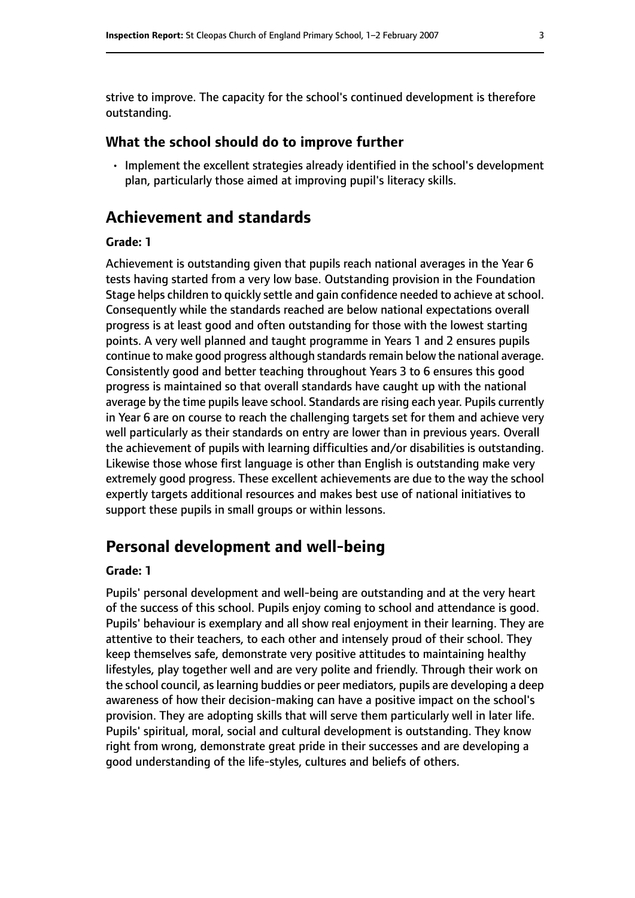strive to improve. The capacity for the school's continued development is therefore outstanding.

#### **What the school should do to improve further**

• Implement the excellent strategies already identified in the school's development plan, particularly those aimed at improving pupil's literacy skills.

## **Achievement and standards**

#### **Grade: 1**

Achievement is outstanding given that pupils reach national averages in the Year 6 tests having started from a very low base. Outstanding provision in the Foundation Stage helps children to quickly settle and gain confidence needed to achieve at school. Consequently while the standards reached are below national expectations overall progress is at least good and often outstanding for those with the lowest starting points. A very well planned and taught programme in Years 1 and 2 ensures pupils continue to make good progress although standards remain below the national average. Consistently good and better teaching throughout Years 3 to 6 ensures this good progress is maintained so that overall standards have caught up with the national average by the time pupils leave school. Standards are rising each year. Pupils currently in Year 6 are on course to reach the challenging targets set for them and achieve very well particularly as their standards on entry are lower than in previous years. Overall the achievement of pupils with learning difficulties and/or disabilities is outstanding. Likewise those whose first language is other than English is outstanding make very extremely good progress. These excellent achievements are due to the way the school expertly targets additional resources and makes best use of national initiatives to support these pupils in small groups or within lessons.

# **Personal development and well-being**

#### **Grade: 1**

Pupils' personal development and well-being are outstanding and at the very heart of the success of this school. Pupils enjoy coming to school and attendance is good. Pupils' behaviour is exemplary and all show real enjoyment in their learning. They are attentive to their teachers, to each other and intensely proud of their school. They keep themselves safe, demonstrate very positive attitudes to maintaining healthy lifestyles, play together well and are very polite and friendly. Through their work on the school council, as learning buddies or peer mediators, pupils are developing a deep awareness of how their decision-making can have a positive impact on the school's provision. They are adopting skills that will serve them particularly well in later life. Pupils' spiritual, moral, social and cultural development is outstanding. They know right from wrong, demonstrate great pride in their successes and are developing a good understanding of the life-styles, cultures and beliefs of others.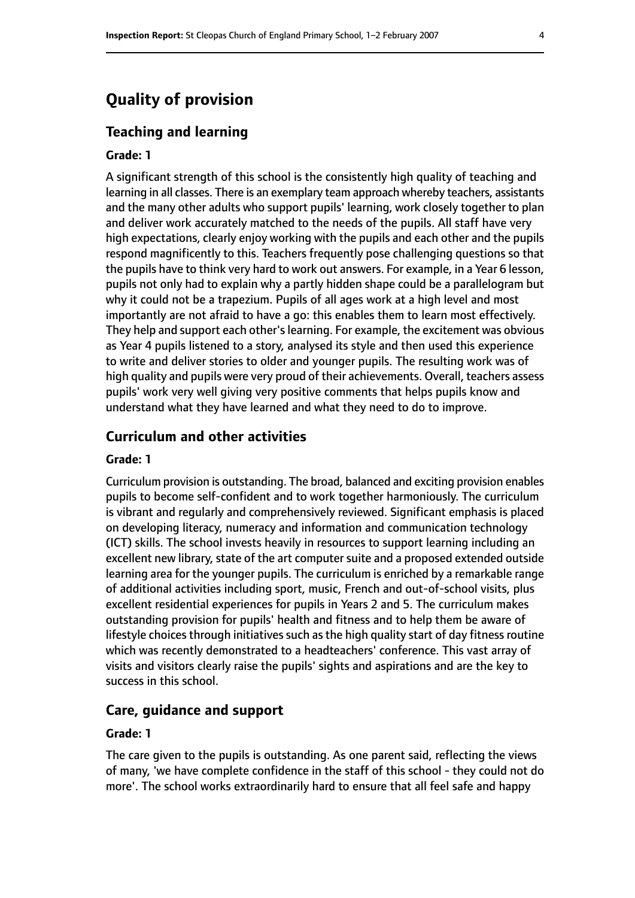# **Quality of provision**

#### **Teaching and learning**

#### **Grade: 1**

A significant strength of this school is the consistently high quality of teaching and learning in all classes. There is an exemplary team approach whereby teachers, assistants and the many other adults who support pupils' learning, work closely together to plan and deliver work accurately matched to the needs of the pupils. All staff have very high expectations, clearly enjoy working with the pupils and each other and the pupils respond magnificently to this. Teachers frequently pose challenging questions so that the pupils have to think very hard to work out answers. For example, in a Year 6 lesson, pupils not only had to explain why a partly hidden shape could be a parallelogram but why it could not be a trapezium. Pupils of all ages work at a high level and most importantly are not afraid to have a go: this enables them to learn most effectively. They help and support each other's learning. For example, the excitement was obvious as Year 4 pupils listened to a story, analysed its style and then used this experience to write and deliver stories to older and younger pupils. The resulting work was of high quality and pupils were very proud of their achievements. Overall, teachers assess pupils' work very well giving very positive comments that helps pupils know and understand what they have learned and what they need to do to improve.

### **Curriculum and other activities**

#### **Grade: 1**

Curriculum provision is outstanding. The broad, balanced and exciting provision enables pupils to become self-confident and to work together harmoniously. The curriculum is vibrant and regularly and comprehensively reviewed. Significant emphasis is placed on developing literacy, numeracy and information and communication technology (ICT) skills. The school invests heavily in resources to support learning including an excellent new library, state of the art computer suite and a proposed extended outside learning area for the younger pupils. The curriculum is enriched by a remarkable range of additional activities including sport, music, French and out-of-school visits, plus excellent residential experiences for pupils in Years 2 and 5. The curriculum makes outstanding provision for pupils' health and fitness and to help them be aware of lifestyle choices through initiatives such as the high quality start of day fitness routine which was recently demonstrated to a headteachers' conference. This vast array of visits and visitors clearly raise the pupils' sights and aspirations and are the key to success in this school.

#### **Care, guidance and support**

#### **Grade: 1**

The care given to the pupils is outstanding. As one parent said, reflecting the views of many, 'we have complete confidence in the staff of this school - they could not do more'. The school works extraordinarily hard to ensure that all feel safe and happy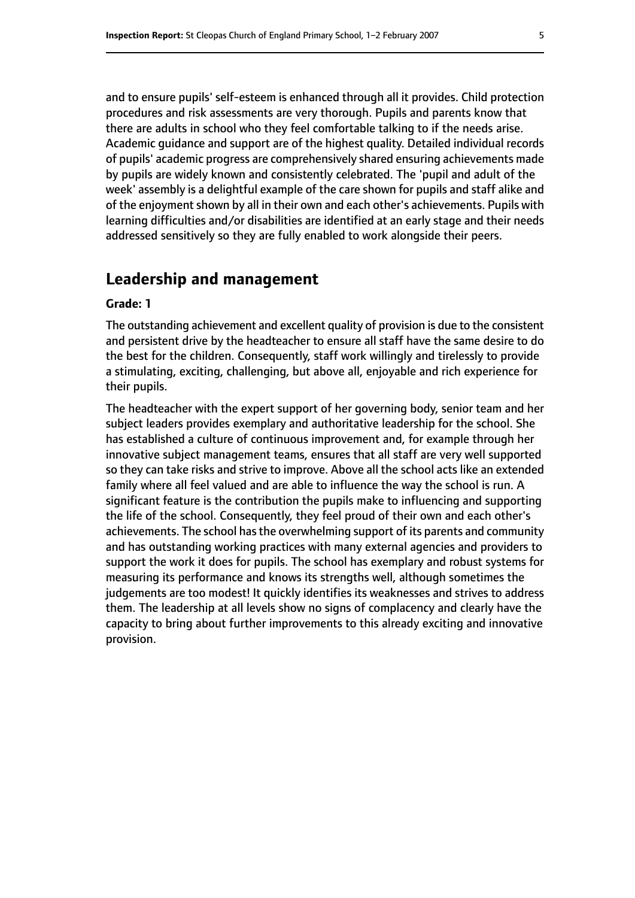and to ensure pupils' self-esteem is enhanced through all it provides. Child protection procedures and risk assessments are very thorough. Pupils and parents know that there are adults in school who they feel comfortable talking to if the needs arise. Academic guidance and support are of the highest quality. Detailed individual records of pupils' academic progress are comprehensively shared ensuring achievements made by pupils are widely known and consistently celebrated. The 'pupil and adult of the week' assembly is a delightful example of the care shown for pupils and staff alike and of the enjoyment shown by all in their own and each other's achievements. Pupils with learning difficulties and/or disabilities are identified at an early stage and their needs addressed sensitively so they are fully enabled to work alongside their peers.

## **Leadership and management**

#### **Grade: 1**

The outstanding achievement and excellent quality of provision is due to the consistent and persistent drive by the headteacher to ensure all staff have the same desire to do the best for the children. Consequently, staff work willingly and tirelessly to provide a stimulating, exciting, challenging, but above all, enjoyable and rich experience for their pupils.

The headteacher with the expert support of her governing body, senior team and her subject leaders provides exemplary and authoritative leadership for the school. She has established a culture of continuous improvement and, for example through her innovative subject management teams, ensures that all staff are very well supported so they can take risks and strive to improve. Above all the school acts like an extended family where all feel valued and are able to influence the way the school is run. A significant feature is the contribution the pupils make to influencing and supporting the life of the school. Consequently, they feel proud of their own and each other's achievements. The school has the overwhelming support of its parents and community and has outstanding working practices with many external agencies and providers to support the work it does for pupils. The school has exemplary and robust systems for measuring its performance and knows its strengths well, although sometimes the judgements are too modest! It quickly identifies its weaknesses and strives to address them. The leadership at all levels show no signs of complacency and clearly have the capacity to bring about further improvements to this already exciting and innovative provision.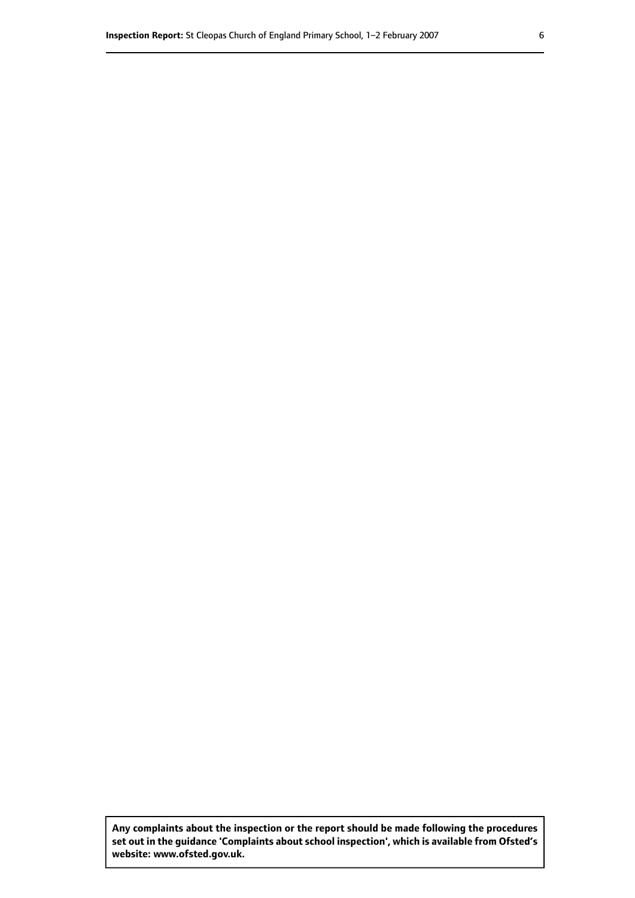**Any complaints about the inspection or the report should be made following the procedures set out inthe guidance 'Complaints about school inspection', whichis available from Ofsted's website: www.ofsted.gov.uk.**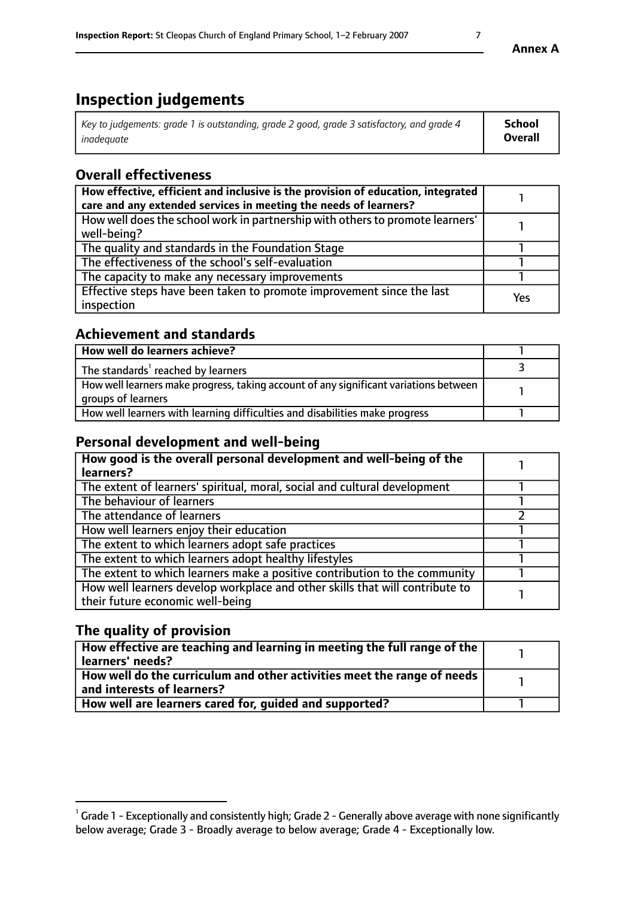# **Inspection judgements**

| Key to judgements: grade 1 is outstanding, grade 2 good, grade 3 satisfactory, and grade 4 | <b>School</b>  |
|--------------------------------------------------------------------------------------------|----------------|
| inadeauate                                                                                 | <b>Overall</b> |

# **Overall effectiveness**

| How effective, efficient and inclusive is the provision of education, integrated<br>care and any extended services in meeting the needs of learners? |     |
|------------------------------------------------------------------------------------------------------------------------------------------------------|-----|
| How well does the school work in partnership with others to promote learners'<br>well-being?                                                         |     |
| The quality and standards in the Foundation Stage                                                                                                    |     |
| The effectiveness of the school's self-evaluation                                                                                                    |     |
| The capacity to make any necessary improvements                                                                                                      |     |
| Effective steps have been taken to promote improvement since the last<br>inspection                                                                  | Yes |

# **Achievement and standards**

| How well do learners achieve?                                                                               |  |
|-------------------------------------------------------------------------------------------------------------|--|
| The standards <sup>1</sup> reached by learners                                                              |  |
| How well learners make progress, taking account of any significant variations between<br>groups of learners |  |
| How well learners with learning difficulties and disabilities make progress                                 |  |

# **Personal development and well-being**

| How good is the overall personal development and well-being of the<br>learners?                                  |  |
|------------------------------------------------------------------------------------------------------------------|--|
| The extent of learners' spiritual, moral, social and cultural development                                        |  |
| The behaviour of learners                                                                                        |  |
| The attendance of learners                                                                                       |  |
| How well learners enjoy their education                                                                          |  |
| The extent to which learners adopt safe practices                                                                |  |
| The extent to which learners adopt healthy lifestyles                                                            |  |
| The extent to which learners make a positive contribution to the community                                       |  |
| How well learners develop workplace and other skills that will contribute to<br>their future economic well-being |  |

# **The quality of provision**

| How effective are teaching and learning in meeting the full range of the<br>  learners' needs?                      |  |
|---------------------------------------------------------------------------------------------------------------------|--|
| $\mid$ How well do the curriculum and other activities meet the range of needs<br>$\mid$ and interests of learners? |  |
| How well are learners cared for, guided and supported?                                                              |  |

 $^1$  Grade 1 - Exceptionally and consistently high; Grade 2 - Generally above average with none significantly below average; Grade 3 - Broadly average to below average; Grade 4 - Exceptionally low.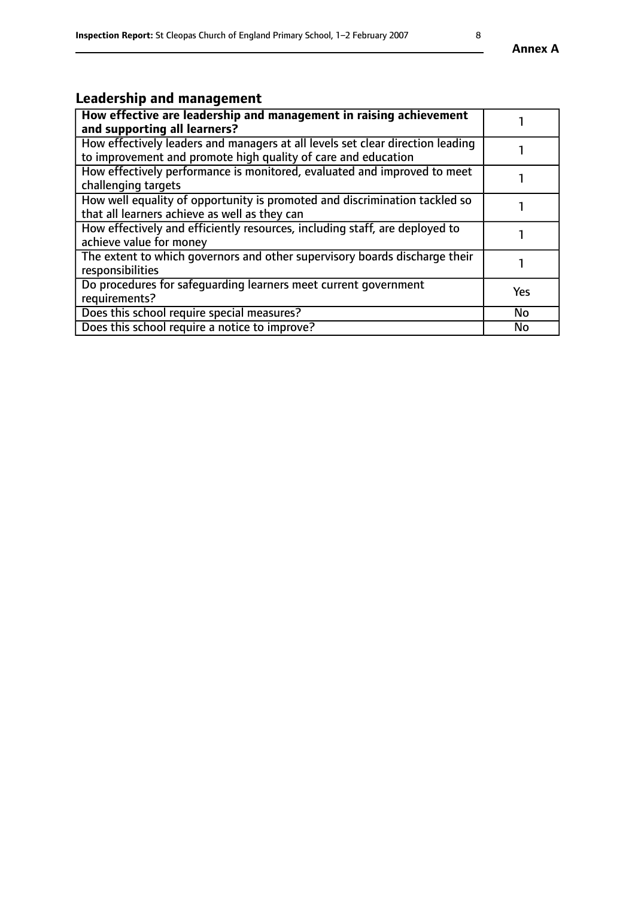# **Leadership and management**

| How effective are leadership and management in raising achievement             |           |
|--------------------------------------------------------------------------------|-----------|
| and supporting all learners?                                                   |           |
| How effectively leaders and managers at all levels set clear direction leading |           |
| to improvement and promote high quality of care and education                  |           |
| How effectively performance is monitored, evaluated and improved to meet       |           |
| challenging targets                                                            |           |
| How well equality of opportunity is promoted and discrimination tackled so     |           |
| that all learners achieve as well as they can                                  |           |
| How effectively and efficiently resources, including staff, are deployed to    |           |
| achieve value for money                                                        |           |
| The extent to which governors and other supervisory boards discharge their     |           |
| responsibilities                                                               |           |
| Do procedures for safequarding learners meet current government                | Yes       |
| requirements?                                                                  |           |
| Does this school require special measures?                                     | No        |
| Does this school require a notice to improve?                                  | <b>No</b> |